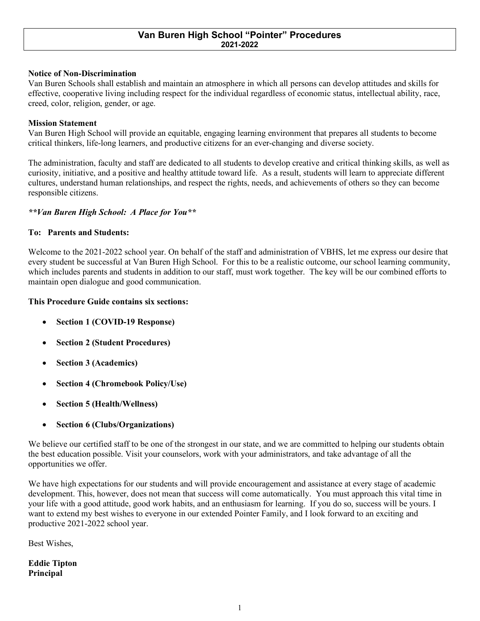## **Van Buren High School "Pointer" Procedures 2021-2022**

### **Notice of Non-Discrimination**

Van Buren Schools shall establish and maintain an atmosphere in which all persons can develop attitudes and skills for effective, cooperative living including respect for the individual regardless of economic status, intellectual ability, race, creed, color, religion, gender, or age.

### **Mission Statement**

Van Buren High School will provide an equitable, engaging learning environment that prepares all students to become critical thinkers, life-long learners, and productive citizens for an ever-changing and diverse society.

The administration, faculty and staff are dedicated to all students to develop creative and critical thinking skills, as well as curiosity, initiative, and a positive and healthy attitude toward life. As a result, students will learn to appreciate different cultures, understand human relationships, and respect the rights, needs, and achievements of others so they can become responsible citizens.

### *\*\*Van Buren High School: A Place for You\*\**

### **To: Parents and Students:**

Welcome to the 2021-2022 school year. On behalf of the staff and administration of VBHS, let me express our desire that every student be successful at Van Buren High School. For this to be a realistic outcome, our school learning community, which includes parents and students in addition to our staff, must work together. The key will be our combined efforts to maintain open dialogue and good communication.

## **This Procedure Guide contains six sections:**

- **Section 1 (COVID-19 Response)**
- **Section 2 (Student Procedures)**
- **Section 3 (Academics)**
- **Section 4 (Chromebook Policy/Use)**
- **Section 5 (Health/Wellness)**
- **Section 6 (Clubs/Organizations)**

We believe our certified staff to be one of the strongest in our state, and we are committed to helping our students obtain the best education possible. Visit your counselors, work with your administrators, and take advantage of all the opportunities we offer.

We have high expectations for our students and will provide encouragement and assistance at every stage of academic development. This, however, does not mean that success will come automatically. You must approach this vital time in your life with a good attitude, good work habits, and an enthusiasm for learning. If you do so, success will be yours. I want to extend my best wishes to everyone in our extended Pointer Family, and I look forward to an exciting and productive 2021-2022 school year.

Best Wishes,

**Eddie Tipton Principal**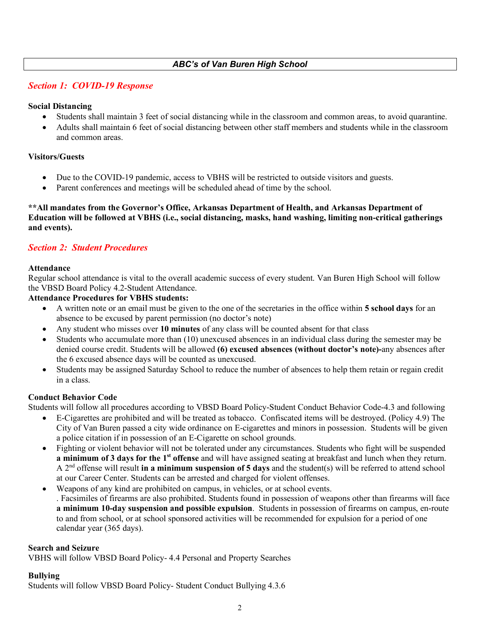# *ABC's of Van Buren High School*

# *Section 1: COVID-19 Response*

## **Social Distancing**

- Students shall maintain 3 feet of social distancing while in the classroom and common areas, to avoid quarantine.
- Adults shall maintain 6 feet of social distancing between other staff members and students while in the classroom and common areas.

## **Visitors/Guests**

- Due to the COVID-19 pandemic, access to VBHS will be restricted to outside visitors and guests.
- Parent conferences and meetings will be scheduled ahead of time by the school.

**\*\*All mandates from the Governor's Office, Arkansas Department of Health, and Arkansas Department of Education will be followed at VBHS (i.e., social distancing, masks, hand washing, limiting non-critical gatherings and events).** 

# *Section 2: Student Procedures*

## **Attendance**

Regular school attendance is vital to the overall academic success of every student. Van Buren High School will follow the VBSD Board Policy 4.2-Student Attendance.

## **Attendance Procedures for VBHS students:**

- A written note or an email must be given to the one of the secretaries in the office within **5 school days** for an absence to be excused by parent permission (no doctor's note)
- Any student who misses over **10 minutes** of any class will be counted absent for that class
- Students who accumulate more than (10) unexcused absences in an individual class during the semester may be denied course credit. Students will be allowed **(6) excused absences (without doctor's note)-**any absences after the 6 excused absence days will be counted as unexcused.
- Students may be assigned Saturday School to reduce the number of absences to help them retain or regain credit in a class.

# **Conduct Behavior Code**

Students will follow all procedures according to VBSD Board Policy-Student Conduct Behavior Code-4.3 and following

- E-Cigarettes are prohibited and will be treated as tobacco. Confiscated items will be destroyed. (Policy 4.9) The City of Van Buren passed a city wide ordinance on E-cigarettes and minors in possession. Students will be given a police citation if in possession of an E-Cigarette on school grounds.
- Fighting or violent behavior will not be tolerated under any circumstances. Students who fight will be suspended **a minimum of 3 days for the 1<sup>st</sup> offense** and will have assigned seating at breakfast and lunch when they return. A 2nd offense will result **in a minimum suspension of 5 days** and the student(s) will be referred to attend school at our Career Center. Students can be arrested and charged for violent offenses.
- Weapons of any kind are prohibited on campus, in vehicles, or at school events. . Facsimiles of firearms are also prohibited. Students found in possession of weapons other than firearms will face **a minimum 10-day suspension and possible expulsion**. Students in possession of firearms on campus, en-route to and from school, or at school sponsored activities will be recommended for expulsion for a period of one calendar year (365 days).

## **Search and Seizure**

VBHS will follow VBSD Board Policy- 4.4 Personal and Property Searches

## **Bullying**

Students will follow VBSD Board Policy- Student Conduct Bullying 4.3.6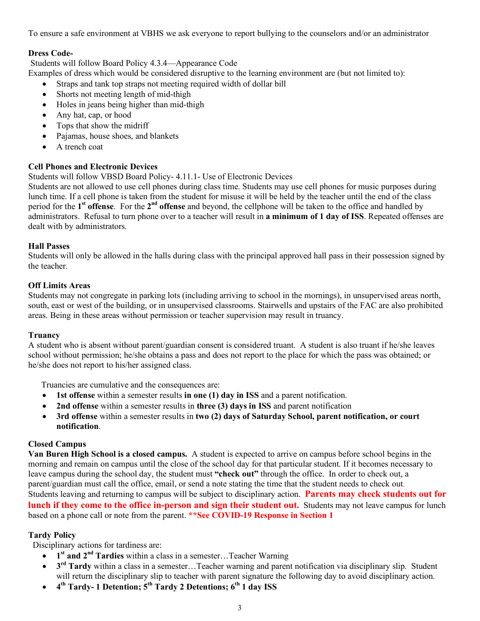To ensure a safe environment at VBHS we ask everyone to report bullying to the counselors and/or an administrator

# **Dress Code-**

Students will follow Board Policy 4.3.4—Appearance Code

Examples of dress which would be considered disruptive to the learning environment are (but not limited to):

- Straps and tank top straps not meeting required width of dollar bill
- Shorts not meeting length of mid-thigh
- Holes in jeans being higher than mid-thigh
- Any hat, cap, or hood
- Tops that show the midriff
- Pajamas, house shoes, and blankets
- A trench coat

# **Cell Phones and Electronic Devices**

Students will follow VBSD Board Policy- 4.11.1- Use of Electronic Devices

Students are not allowed to use cell phones during class time. Students may use cell phones for music purposes during lunch time. If a cell phone is taken from the student for misuse it will be held by the teacher until the end of the class period for the **1st offense**. For the **2nd offense** and beyond, the cellphone will be taken to the office and handled by administrators. Refusal to turn phone over to a teacher will result in **a minimum of 1 day of ISS**. Repeated offenses are dealt with by administrators.

## **Hall Passes**

Students will only be allowed in the halls during class with the principal approved hall pass in their possession signed by the teacher.

## **Off Limits Areas**

Students may not congregate in parking lots (including arriving to school in the mornings), in unsupervised areas north, south, east or west of the building, or in unsupervised classrooms. Stairwells and upstairs of the FAC are also prohibited areas. Being in these areas without permission or teacher supervision may result in truancy.

## **Truancy**

A student who is absent without parent/guardian consent is considered truant. A student is also truant if he/she leaves school without permission; he/she obtains a pass and does not report to the place for which the pass was obtained; or he/she does not report to his/her assigned class.

Truancies are cumulative and the consequences are:

- **1st offense** within a semester results **in one (1) day in ISS** and a parent notification.
- **2nd offense** within a semester results in **three (3) days in ISS** and parent notification
- **3rd offense** within a semester results in **two (2) days of Saturday School, parent notification, or court notification**.

## **Closed Campus**

**Van Buren High School is a closed campus.** A student is expected to arrive on campus before school begins in the morning and remain on campus until the close of the school day for that particular student. If it becomes necessary to leave campus during the school day, the student must **"check out"** through the office. In order to check out, a parent/guardian must call the office, email, or send a note stating the time that the student needs to check out. Students leaving and returning to campus will be subject to disciplinary action. **Parents may check students out for lunch if they come to the office in-person and sign their student out.** Students may not leave campus for lunch based on a phone call or note from the parent. **\*\*See COVID-19 Response in Section 1**

# **Tardy Policy**

Disciplinary actions for tardiness are:

- **1st and 2nd Tardies** within a class in a semester…Teacher Warning
- **3rd Tardy** within a class in a semester…Teacher warning and parent notification via disciplinary slip. Student will return the disciplinary slip to teacher with parent signature the following day to avoid disciplinary action.
- **4th Tardy- 1 Detention; 5th Tardy 2 Detentions; 6th 1 day ISS**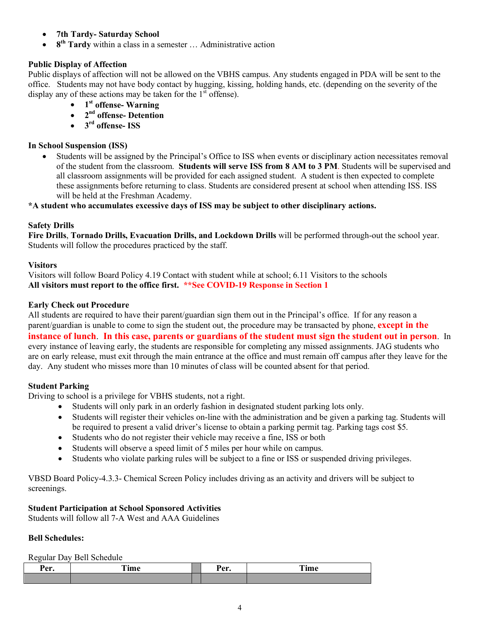- **7th Tardy- Saturday School**
- **8th Tardy** within a class in a semester … Administrative action

# **Public Display of Affection**

Public displays of affection will not be allowed on the VBHS campus. Any students engaged in PDA will be sent to the office. Students may not have body contact by hugging, kissing, holding hands, etc. (depending on the severity of the display any of these actions may be taken for the  $1<sup>st</sup>$  offense).

- **1st offense- Warning**
- **2nd offense- Detention**
- **3rd offense- ISS**

## **In School Suspension (ISS)**

• Students will be assigned by the Principal's Office to ISS when events or disciplinary action necessitates removal of the student from the classroom. **Students will serve ISS from 8 AM to 3 PM**. Students will be supervised and all classroom assignments will be provided for each assigned student. A student is then expected to complete these assignments before returning to class. Students are considered present at school when attending ISS. ISS will be held at the Freshman Academy.

**\*A student who accumulates excessive days of ISS may be subject to other disciplinary actions.**

# **Safety Drills**

**Fire Drills**, **Tornado Drills, Evacuation Drills, and Lockdown Drills** will be performed through-out the school year. Students will follow the procedures practiced by the staff.

## **Visitors**

Visitors will follow Board Policy 4.19 Contact with student while at school; 6.11 Visitors to the schools **All visitors must report to the office first. \*\*See COVID-19 Response in Section 1**

## **Early Check out Procedure**

All students are required to have their parent/guardian sign them out in the Principal's office. If for any reason a parent/guardian is unable to come to sign the student out, the procedure may be transacted by phone, **except in the instance of lunch**. **In this case, parents or guardians of the student must sign the student out in person**. In every instance of leaving early, the students are responsible for completing any missed assignments. JAG students who are on early release, must exit through the main entrance at the office and must remain off campus after they leave for the day. Any student who misses more than 10 minutes of class will be counted absent for that period.

## **Student Parking**

Driving to school is a privilege for VBHS students, not a right.

- Students will only park in an orderly fashion in designated student parking lots only.
- Students will register their vehicles on-line with the administration and be given a parking tag. Students will be required to present a valid driver's license to obtain a parking permit tag. Parking tags cost \$5.
- Students who do not register their vehicle may receive a fine, ISS or both
- Students will observe a speed limit of 5 miles per hour while on campus.
- Students who violate parking rules will be subject to a fine or ISS or suspended driving privileges.

VBSD Board Policy-4.3.3- Chemical Screen Policy includes driving as an activity and drivers will be subject to screenings.

# **Student Participation at School Sponsored Activities**

Students will follow all 7-A West and AAA Guidelines

## **Bell Schedules:**

Regular Day Bell Schedule

| Per<br>a Ule | <b>CONTINUES</b><br>ım e<br>$-$ and $\mathbf{C}$<br>----- | n<br>.<br>⊷. | ran e<br>∡ ıme |
|--------------|-----------------------------------------------------------|--------------|----------------|
|              |                                                           |              |                |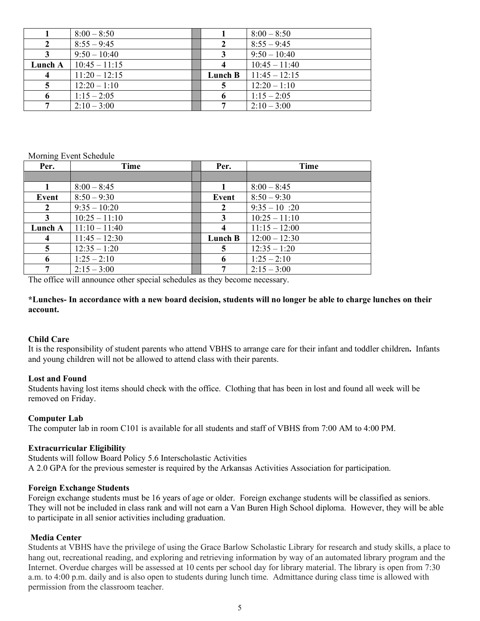|         | $8:00 - 8:50$   |         | $8:00 - 8:50$   |
|---------|-----------------|---------|-----------------|
|         | $8:55 - 9:45$   |         | $8:55 - 9:45$   |
|         | $9:50 - 10:40$  |         | $9:50 - 10:40$  |
| Lunch A | $10:45 - 11:15$ |         | $10:45 - 11:40$ |
|         | $11:20 - 12:15$ | Lunch B | $11:45 - 12:15$ |
|         | $12:20 - 1:10$  |         | $12:20 - 1:10$  |
|         | $1:15 - 2:05$   |         | $1:15 - 2:05$   |
|         | $2:10 - 3:00$   |         | $2:10-3:00$     |

#### Morning Event Schedule

| Per.                    | Time            | Per.    | Time            |
|-------------------------|-----------------|---------|-----------------|
|                         |                 |         |                 |
|                         | $8:00 - 8:45$   |         | $8:00 - 8:45$   |
| Event                   | $8:50 - 9:30$   | Event   | $8:50 - 9:30$   |
| $\overline{2}$          | $9:35 - 10:20$  | 2       | $9:35 - 10:20$  |
| 3                       | $10:25 - 11:10$ | 3       | $10:25 - 11:10$ |
| Lunch A                 | $11:10 - 11:40$ | 4       | $11:15 - 12:00$ |
| $\overline{\mathbf{4}}$ | $11:45 - 12:30$ | Lunch B | $12:00 - 12:30$ |
| 5                       | $12:35 - 1:20$  | 5       | $12:35 - 1:20$  |
| 6                       | $1:25 - 2:10$   | 6       | $1:25 - 2:10$   |
| 7                       | $2:15 - 3:00$   |         | $2:15 - 3:00$   |

The office will announce other special schedules as they become necessary.

## **\*Lunches- In accordance with a new board decision, students will no longer be able to charge lunches on their account.**

## **Child Care**

It is the responsibility of student parents who attend VBHS to arrange care for their infant and toddler children**.** Infants and young children will not be allowed to attend class with their parents.

### **Lost and Found**

Students having lost items should check with the office. Clothing that has been in lost and found all week will be removed on Friday.

## **Computer Lab**

The computer lab in room C101 is available for all students and staff of VBHS from 7:00 AM to 4:00 PM.

## **Extracurricular Eligibility**

Students will follow Board Policy 5.6 Interscholastic Activities A 2.0 GPA for the previous semester is required by the Arkansas Activities Association for participation.

### **Foreign Exchange Students**

Foreign exchange students must be 16 years of age or older. Foreign exchange students will be classified as seniors. They will not be included in class rank and will not earn a Van Buren High School diploma. However, they will be able to participate in all senior activities including graduation.

## **Media Center**

Students at VBHS have the privilege of using the Grace Barlow Scholastic Library for research and study skills, a place to hang out, recreational reading, and exploring and retrieving information by way of an automated library program and the Internet. Overdue charges will be assessed at 10 cents per school day for library material. The library is open from 7:30 a.m. to 4:00 p.m. daily and is also open to students during lunch time. Admittance during class time is allowed with permission from the classroom teacher.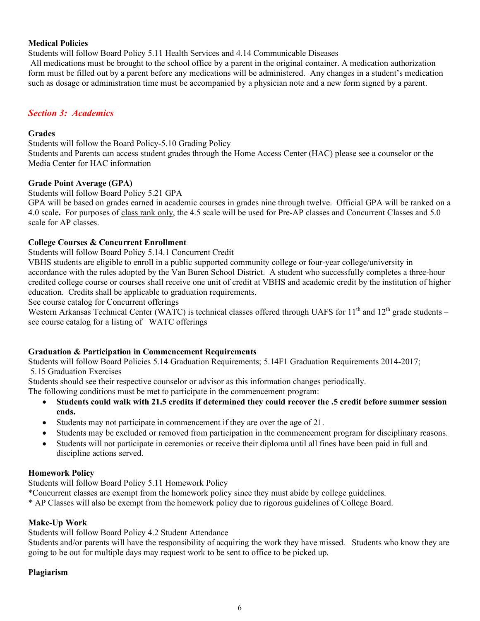# **Medical Policies**

Students will follow Board Policy 5.11 Health Services and 4.14 Communicable Diseases

All medications must be brought to the school office by a parent in the original container. A medication authorization form must be filled out by a parent before any medications will be administered. Any changes in a student's medication such as dosage or administration time must be accompanied by a physician note and a new form signed by a parent.

# *Section 3: Academics*

## **Grades**

Students will follow the Board Policy-5.10 Grading Policy Students and Parents can access student grades through the Home Access Center (HAC) please see a counselor or the Media Center for HAC information

## **Grade Point Average (GPA)**

Students will follow Board Policy 5.21 GPA

GPA will be based on grades earned in academic courses in grades nine through twelve. Official GPA will be ranked on a 4.0 scale**.** For purposes of class rank only, the 4.5 scale will be used for Pre-AP classes and Concurrent Classes and 5.0 scale for AP classes.

## **College Courses & Concurrent Enrollment**

Students will follow Board Policy 5.14.1 Concurrent Credit

VBHS students are eligible to enroll in a public supported community college or four-year college/university in accordance with the rules adopted by the Van Buren School District. A student who successfully completes a three-hour credited college course or courses shall receive one unit of credit at VBHS and academic credit by the institution of higher education. Credits shall be applicable to graduation requirements.

See course catalog for Concurrent offerings

Western Arkansas Technical Center (WATC) is technical classes offered through UAFS for  $11<sup>th</sup>$  and  $12<sup>th</sup>$  grade students – see course catalog for a listing of WATC offerings

# **Graduation & Participation in Commencement Requirements**

Students will follow Board Policies 5.14 Graduation Requirements; 5.14F1 Graduation Requirements 2014-2017; 5.15 Graduation Exercises

Students should see their respective counselor or advisor as this information changes periodically.

The following conditions must be met to participate in the commencement program:

- **Students could walk with 21.5 credits if determined they could recover the .5 credit before summer session ends.**
- Students may not participate in commencement if they are over the age of 21.
- Students may be excluded or removed from participation in the commencement program for disciplinary reasons.
- Students will not participate in ceremonies or receive their diploma until all fines have been paid in full and discipline actions served.

# **Homework Policy**

Students will follow Board Policy 5.11 Homework Policy

- \*Concurrent classes are exempt from the homework policy since they must abide by college guidelines.
- \* AP Classes will also be exempt from the homework policy due to rigorous guidelines of College Board.

# **Make-Up Work**

Students will follow Board Policy 4.2 Student Attendance

Students and/or parents will have the responsibility of acquiring the work they have missed. Students who know they are going to be out for multiple days may request work to be sent to office to be picked up.

## **Plagiarism**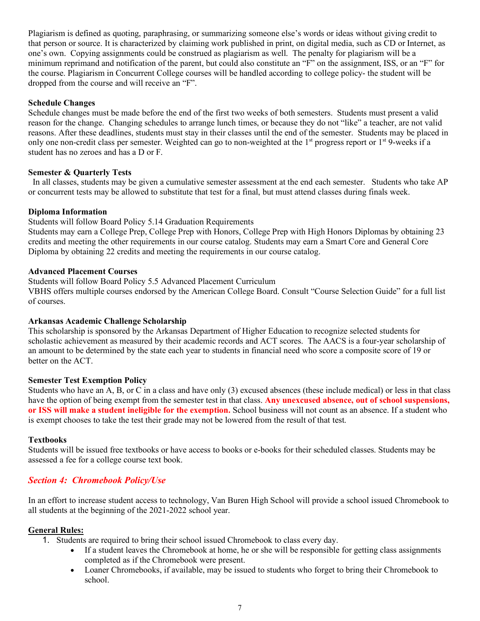Plagiarism is defined as quoting, paraphrasing, or summarizing someone else's words or ideas without giving credit to that person or source. It is characterized by claiming work published in print, on digital media, such as CD or Internet, as one's own. Copying assignments could be construed as plagiarism as well. The penalty for plagiarism will be a minimum reprimand and notification of the parent, but could also constitute an "F" on the assignment, ISS, or an "F" for the course. Plagiarism in Concurrent College courses will be handled according to college policy- the student will be dropped from the course and will receive an "F".

## **Schedule Changes**

Schedule changes must be made before the end of the first two weeks of both semesters. Students must present a valid reason for the change. Changing schedules to arrange lunch times, or because they do not "like" a teacher, are not valid reasons. After these deadlines, students must stay in their classes until the end of the semester. Students may be placed in only one non-credit class per semester. Weighted can go to non-weighted at the  $1<sup>st</sup>$  progress report or  $1<sup>st</sup>$  9-weeks if a student has no zeroes and has a D or F.

## **Semester & Quarterly Tests**

 In all classes, students may be given a cumulative semester assessment at the end each semester. Students who take AP or concurrent tests may be allowed to substitute that test for a final, but must attend classes during finals week.

### **Diploma Information**

Students will follow Board Policy 5.14 Graduation Requirements

Students may earn a College Prep, College Prep with Honors, College Prep with High Honors Diplomas by obtaining 23 credits and meeting the other requirements in our course catalog. Students may earn a Smart Core and General Core Diploma by obtaining 22 credits and meeting the requirements in our course catalog.

### **Advanced Placement Courses**

Students will follow Board Policy 5.5 Advanced Placement Curriculum

VBHS offers multiple courses endorsed by the American College Board. Consult "Course Selection Guide" for a full list of courses.

## **Arkansas Academic Challenge Scholarship**

This scholarship is sponsored by the Arkansas Department of Higher Education to recognize selected students for scholastic achievement as measured by their academic records and ACT scores. The AACS is a four-year scholarship of an amount to be determined by the state each year to students in financial need who score a composite score of 19 or better on the ACT.

### **Semester Test Exemption Policy**

Students who have an A, B, or C in a class and have only (3) excused absences (these include medical) or less in that class have the option of being exempt from the semester test in that class. **Any unexcused absence, out of school suspensions, or ISS will make a student ineligible for the exemption.** School business will not count as an absence. If a student who is exempt chooses to take the test their grade may not be lowered from the result of that test.

### **Textbooks**

Students will be issued free textbooks or have access to books or e-books for their scheduled classes. Students may be assessed a fee for a college course text book.

## *Section 4: Chromebook Policy/Use*

In an effort to increase student access to technology, Van Buren High School will provide a school issued Chromebook to all students at the beginning of the 2021-2022 school year.

### **General Rules:**

1. Students are required to bring their school issued Chromebook to class every day.

- If a student leaves the Chromebook at home, he or she will be responsible for getting class assignments completed as if the Chromebook were present.
- Loaner Chromebooks, if available, may be issued to students who forget to bring their Chromebook to school.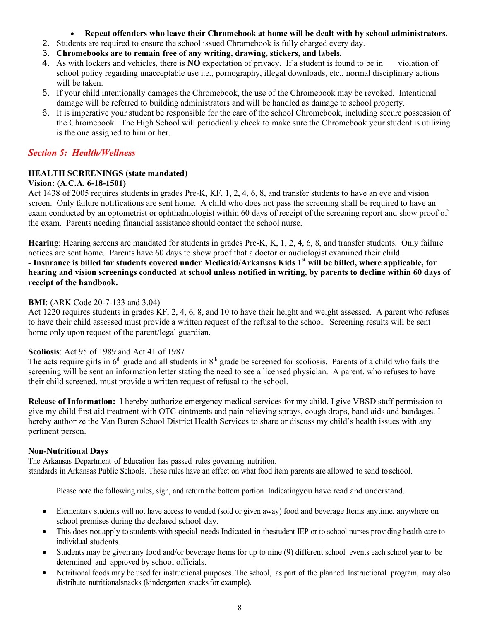- **Repeat offenders who leave their Chromebook at home will be dealt with by school administrators.**
- 2. Students are required to ensure the school issued Chromebook is fully charged every day.
- 3. **Chromebooks are to remain free of any writing, drawing, stickers, and labels.**
- 4. As with lockers and vehicles, there is **NO** expectation of privacy. If a student is found to be in violation of school policy regarding unacceptable use i.e., pornography, illegal downloads, etc., normal disciplinary actions will be taken.
- 5. If your child intentionally damages the Chromebook, the use of the Chromebook may be revoked. Intentional damage will be referred to building administrators and will be handled as damage to school property.
- 6. It is imperative your student be responsible for the care of the school Chromebook, including secure possession of the Chromebook. The High School will periodically check to make sure the Chromebook your student is utilizing is the one assigned to him or her.

# *Section 5: Health/Wellness*

# **HEALTH SCREENINGS (state mandated)**

## **Vision: (A.C.A. 6-18-1501)**

Act 1438 of 2005 requires students in grades Pre-K, KF, 1, 2, 4, 6, 8, and transfer students to have an eye and vision screen. Only failure notifications are sent home. A child who does not pass the screening shall be required to have an exam conducted by an optometrist or ophthalmologist within 60 days of receipt of the screening report and show proof of the exam. Parents needing financial assistance should contact the school nurse.

**Hearing**: Hearing screens are mandated for students in grades Pre-K, K, 1, 2, 4, 6, 8, and transfer students. Only failure notices are sent home. Parents have 60 days to show proof that a doctor or audiologist examined their child.

**- Insurance is billed for students covered under Medicaid/Arkansas Kids 1st will be billed, where applicable, for hearing and vision screenings conducted at school unless notified in writing, by parents to decline within 60 days of receipt of the handbook.** 

## **BMI**: (ARK Code 20-7-133 and 3.04)

Act 1220 requires students in grades KF, 2, 4, 6, 8, and 10 to have their height and weight assessed. A parent who refuses to have their child assessed must provide a written request of the refusal to the school. Screening results will be sent home only upon request of the parent/legal guardian.

## **Scoliosis**: Act 95 of 1989 and Act 41 of 1987

The acts require girls in  $6<sup>th</sup>$  grade and all students in  $8<sup>th</sup>$  grade be screened for scoliosis. Parents of a child who fails the screening will be sent an information letter stating the need to see a licensed physician. A parent, who refuses to have their child screened, must provide a written request of refusal to the school.

**Release of Information:** I hereby authorize emergency medical services for my child. I give VBSD staff permission to give my child first aid treatment with OTC ointments and pain relieving sprays, cough drops, band aids and bandages. I hereby authorize the Van Buren School District Health Services to share or discuss my child's health issues with any pertinent person.

## **Non-Nutritional Days**

The Arkansas Department of Education has passed rules governing nutrition. standards in Arkansas Public Schools. These rules have an effect on what food item parents are allowed to send to school.

Please note the following rules, sign, and return the bottom portion Indicatingyou have read and understand.

- Elementary students will not have access to vended (sold or given away) food and beverage Items anytime, anywhere on school premises during the declared school day.
- This does not apply to students with special needs Indicated in thestudent IEP or to school nurses providing health care to individual students.
- Students may be given any food and/or beverage Items for up to nine (9) different school events each school year to be determined and approved by school officials.
- Nutritional foods may be used for instructional purposes. The school, as part of the planned Instructional program, may also distribute nutritionalsnacks (kindergarten snacks for example).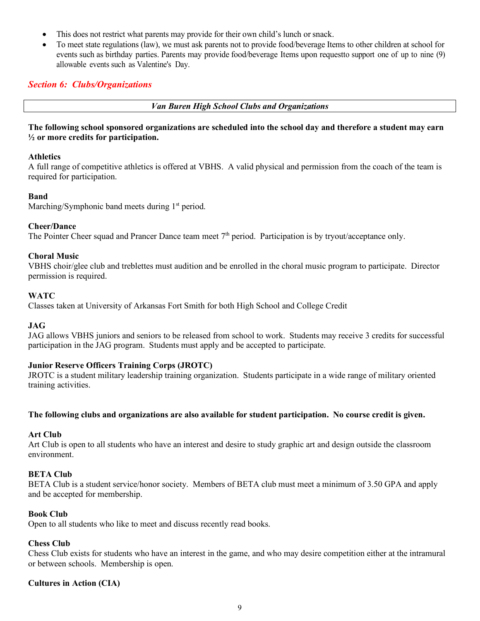- This does not restrict what parents may provide for their own child's lunch or snack.
- To meet state regulations (law), we must ask parents not to provide food/beverage Items to other children at school for events such as birthday parties. Parents may provide food/beverage Items upon requestto support one of up to nine (9) allowable events such as Valentine's Day.

# *Section 6: Clubs/Organizations*

*Van Buren High School Clubs and Organizations*

**The following school sponsored organizations are scheduled into the school day and therefore a student may earn ½ or more credits for participation.**

### **Athletics**

A full range of competitive athletics is offered at VBHS. A valid physical and permission from the coach of the team is required for participation.

## **Band**

Marching/Symphonic band meets during  $1<sup>st</sup>$  period.

### **Cheer/Dance**

The Pointer Cheer squad and Prancer Dance team meet  $7<sup>th</sup>$  period. Participation is by tryout/acceptance only.

## **Choral Music**

VBHS choir/glee club and treblettes must audition and be enrolled in the choral music program to participate. Director permission is required.

### **WATC**

Classes taken at University of Arkansas Fort Smith for both High School and College Credit

## **JAG**

JAG allows VBHS juniors and seniors to be released from school to work. Students may receive 3 credits for successful participation in the JAG program. Students must apply and be accepted to participate.

## **Junior Reserve Officers Training Corps (JROTC)**

JROTC is a student military leadership training organization. Students participate in a wide range of military oriented training activities.

## **The following clubs and organizations are also available for student participation. No course credit is given.**

### **Art Club**

Art Club is open to all students who have an interest and desire to study graphic art and design outside the classroom environment.

## **BETA Club**

BETA Club is a student service/honor society. Members of BETA club must meet a minimum of 3.50 GPA and apply and be accepted for membership.

## **Book Club**

Open to all students who like to meet and discuss recently read books.

## **Chess Club**

Chess Club exists for students who have an interest in the game, and who may desire competition either at the intramural or between schools. Membership is open.

## **Cultures in Action (CIA)**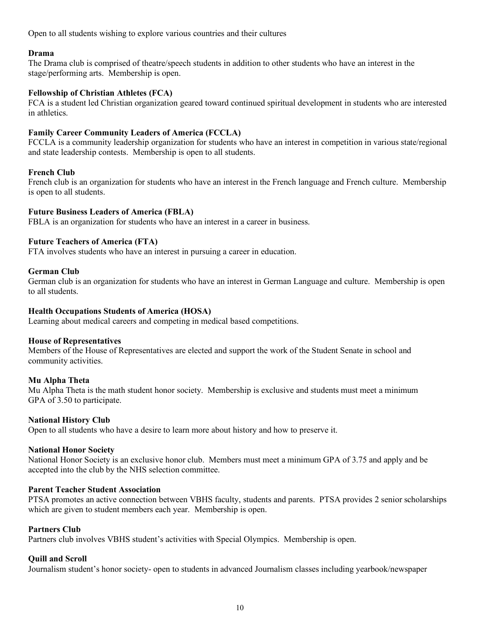Open to all students wishing to explore various countries and their cultures

## **Drama**

The Drama club is comprised of theatre/speech students in addition to other students who have an interest in the stage/performing arts. Membership is open.

## **Fellowship of Christian Athletes (FCA)**

FCA is a student led Christian organization geared toward continued spiritual development in students who are interested in athletics.

## **Family Career Community Leaders of America (FCCLA)**

FCCLA is a community leadership organization for students who have an interest in competition in various state/regional and state leadership contests. Membership is open to all students.

## **French Club**

French club is an organization for students who have an interest in the French language and French culture. Membership is open to all students.

## **Future Business Leaders of America (FBLA)**

FBLA is an organization for students who have an interest in a career in business.

## **Future Teachers of America (FTA)**

FTA involves students who have an interest in pursuing a career in education.

## **German Club**

German club is an organization for students who have an interest in German Language and culture. Membership is open to all students.

## **Health Occupations Students of America (HOSA)**

Learning about medical careers and competing in medical based competitions.

## **House of Representatives**

Members of the House of Representatives are elected and support the work of the Student Senate in school and community activities.

## **Mu Alpha Theta**

Mu Alpha Theta is the math student honor society. Membership is exclusive and students must meet a minimum GPA of 3.50 to participate.

## **National History Club**

Open to all students who have a desire to learn more about history and how to preserve it.

## **National Honor Society**

National Honor Society is an exclusive honor club. Members must meet a minimum GPA of 3.75 and apply and be accepted into the club by the NHS selection committee.

## **Parent Teacher Student Association**

PTSA promotes an active connection between VBHS faculty, students and parents. PTSA provides 2 senior scholarships which are given to student members each year. Membership is open.

## **Partners Club**

Partners club involves VBHS student's activities with Special Olympics. Membership is open.

## **Quill and Scroll**

Journalism student's honor society- open to students in advanced Journalism classes including yearbook/newspaper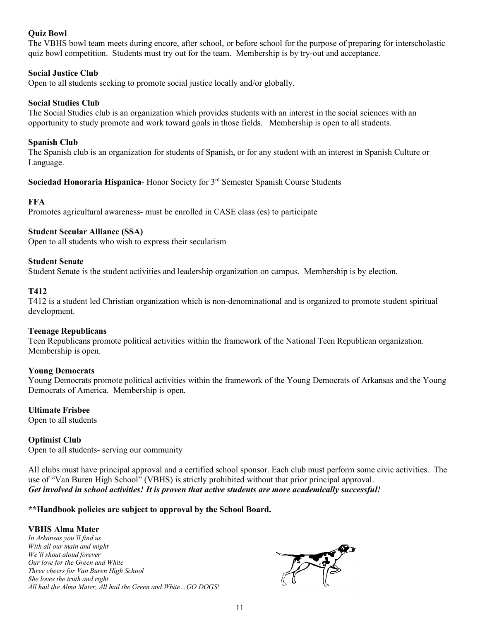# **Quiz Bowl**

The VBHS bowl team meets during encore, after school, or before school for the purpose of preparing for interscholastic quiz bowl competition. Students must try out for the team. Membership is by try-out and acceptance.

## **Social Justice Club**

Open to all students seeking to promote social justice locally and/or globally.

## **Social Studies Club**

The Social Studies club is an organization which provides students with an interest in the social sciences with an opportunity to study promote and work toward goals in those fields. Membership is open to all students.

## **Spanish Club**

The Spanish club is an organization for students of Spanish, or for any student with an interest in Spanish Culture or Language.

**Sociedad Honoraria Hispanica**- Honor Society for 3rd Semester Spanish Course Students

## **FFA**

Promotes agricultural awareness- must be enrolled in CASE class (es) to participate

## **Student Secular Alliance (SSA)**

Open to all students who wish to express their secularism

## **Student Senate**

Student Senate is the student activities and leadership organization on campus. Membership is by election.

## **T412**

T412 is a student led Christian organization which is non-denominational and is organized to promote student spiritual development.

## **Teenage Republicans**

Teen Republicans promote political activities within the framework of the National Teen Republican organization. Membership is open.

## **Young Democrats**

Young Democrats promote political activities within the framework of the Young Democrats of Arkansas and the Young Democrats of America. Membership is open.

# **Ultimate Frisbee**

Open to all students

## **Optimist Club**

Open to all students- serving our community

All clubs must have principal approval and a certified school sponsor. Each club must perform some civic activities. The use of "Van Buren High School" (VBHS) is strictly prohibited without that prior principal approval. *Get involved in school activities! It is proven that active students are more academically successful!*

**\*\*Handbook policies are subject to approval by the School Board.** 

## **VBHS Alma Mater**

*In Arkansas you'll find us With all our main and might We'll shout aloud forever Our love for the Green and White Three cheers for Van Buren High School She loves the truth and right All hail the Alma Mater, All hail the Green and White…GO DOGS!*